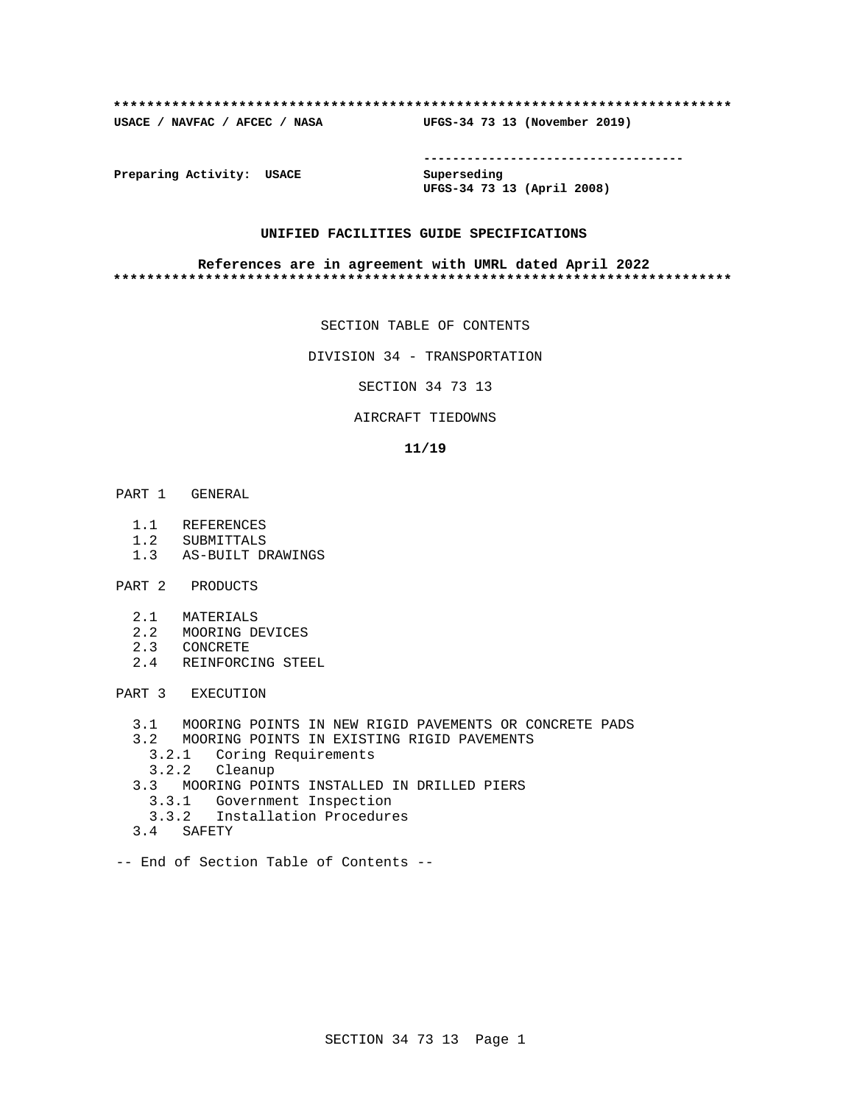## **\*\*\*\*\*\*\*\*\*\*\*\*\*\*\*\*\*\*\*\*\*\*\*\*\*\*\*\*\*\*\*\*\*\*\*\*\*\*\*\*\*\*\*\*\*\*\*\*\*\*\*\*\*\*\*\*\*\*\*\*\*\*\*\*\*\*\*\*\*\*\*\*\*\***

**USACE / NAVFAC / AFCEC / NASA UFGS-34 73 13 (November 2019)**

**------------------------------------**

**Preparing Activity: USACE Superseding**

**UFGS-34 73 13 (April 2008)**

## **UNIFIED FACILITIES GUIDE SPECIFICATIONS**

## **References are in agreement with UMRL dated April 2022 \*\*\*\*\*\*\*\*\*\*\*\*\*\*\*\*\*\*\*\*\*\*\*\*\*\*\*\*\*\*\*\*\*\*\*\*\*\*\*\*\*\*\*\*\*\*\*\*\*\*\*\*\*\*\*\*\*\*\*\*\*\*\*\*\*\*\*\*\*\*\*\*\*\***

SECTION TABLE OF CONTENTS

DIVISION 34 - TRANSPORTATION

SECTION 34 73 13

## AIRCRAFT TIEDOWNS

## **11/19**

- PART 1 GENERAL
	- 1.1 REFERENCES
	- 1.2 SUBMITTALS
	- 1.3 AS-BUILT DRAWINGS
- PART 2 PRODUCTS
	- 2.1 MATERIALS
	- 2.2 MOORING DEVICES
	- 2.3 CONCRETE
	- 2.4 REINFORCING STEEL

PART 3 EXECUTION

- 3.1 MOORING POINTS IN NEW RIGID PAVEMENTS OR CONCRETE PADS
- 3.2 MOORING POINTS IN EXISTING RIGID PAVEMENTS
- 3.2.1 Coring Requirements
- 3.2.2 Cleanup
- 3.3 MOORING POINTS INSTALLED IN DRILLED PIERS
- 3.3.1 Government Inspection
- 3.3.2 Installation Procedures
	- 3.4 SAFETY
- -- End of Section Table of Contents --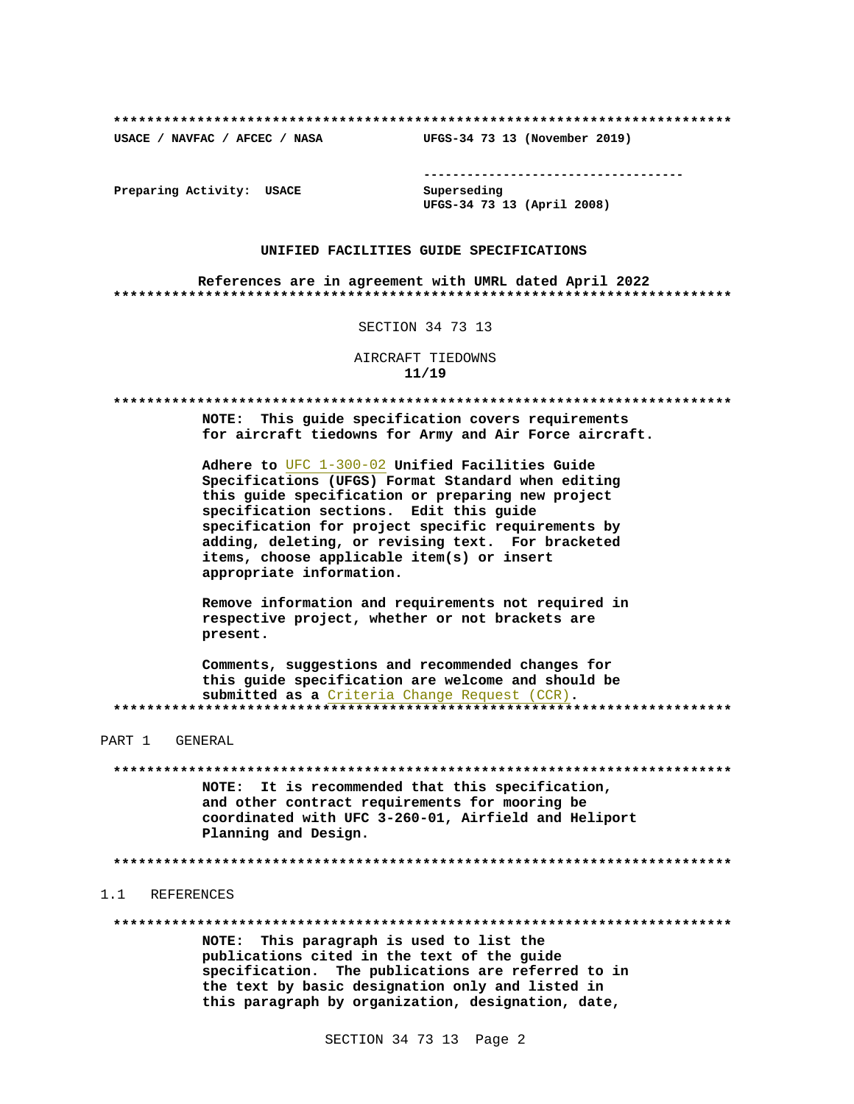USACE / NAVFAC / AFCEC / NASA

--------------------------------------

Preparing Activity: USACE

Superseding UFGS-34 73 13 (April 2008)

UFGS-34 73 13 (November 2019)

## UNIFIED FACILITIES GUIDE SPECIFICATIONS

References are in agreement with UMRL dated April 2022 

SECTION 34 73 13

AIRCRAFT TIEDOWNS  $11/19$ 

\*\*\*\*\*\*\*\*\*\*\* 

> NOTE: This quide specification covers requirements for aircraft tiedowns for Army and Air Force aircraft.

Adhere to UFC 1-300-02 Unified Facilities Guide Specifications (UFGS) Format Standard when editing this guide specification or preparing new project specification sections. Edit this quide specification for project specific requirements by adding, deleting, or revising text. For bracketed items, choose applicable item(s) or insert appropriate information.

Remove information and requirements not required in respective project, whether or not brackets are present.

Comments, suggestions and recommended changes for this guide specification are welcome and should be submitted as a Criteria Change Request (CCR). 

PART 1 GENERAL

NOTE: It is recommended that this specification, and other contract requirements for mooring be coordinated with UFC 3-260-01, Airfield and Heliport Planning and Design.

## 1.1 REFERENCES

NOTE: This paragraph is used to list the publications cited in the text of the guide

specification. The publications are referred to in the text by basic designation only and listed in this paragraph by organization, designation, date,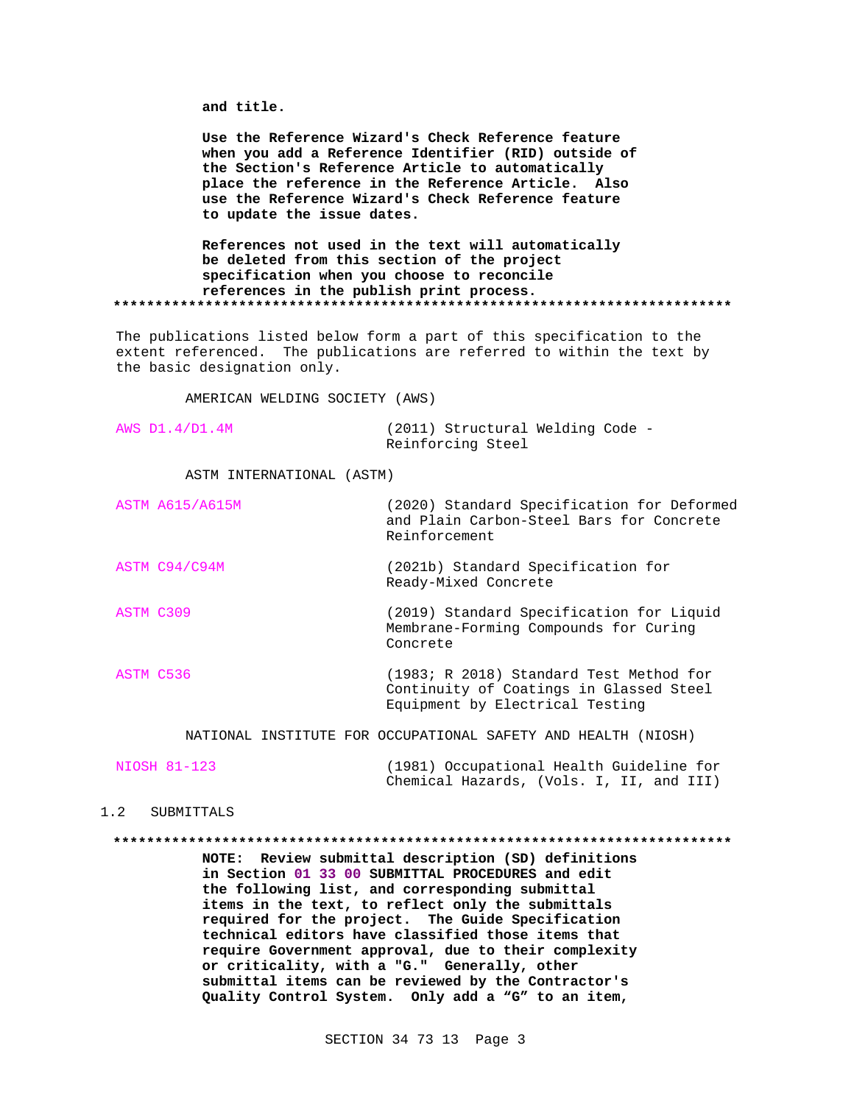and title.

Use the Reference Wizard's Check Reference feature when you add a Reference Identifier (RID) outside of the Section's Reference Article to automatically place the reference in the Reference Article. Also use the Reference Wizard's Check Reference feature to update the issue dates.

References not used in the text will automatically be deleted from this section of the project specification when you choose to reconcile references in the publish print process. 

The publications listed below form a part of this specification to the extent referenced. The publications are referred to within the text by the basic designation only.

AMERICAN WELDING SOCIETY (AWS)

|  | AWS D1.4/D1.4M | (2011) Structural Welding Code - |  |
|--|----------------|----------------------------------|--|
|  |                | Reinforcing Steel                |  |

ASTM INTERNATIONAL (ASTM)

|           | <b>ASTM A615/A615M</b> | (2020) Standard Specification for Deformed<br>and Plain Carbon-Steel Bars for Concrete<br>Reinforcement               |
|-----------|------------------------|-----------------------------------------------------------------------------------------------------------------------|
|           | ASTM C94/C94M          | (2021b) Standard Specification for<br>Ready-Mixed Concrete                                                            |
| ASTM C309 |                        | (2019) Standard Specification for Liquid<br>Membrane-Forming Compounds for Curing<br>Concrete                         |
| ASTM C536 |                        | (1983; R 2018) Standard Test Method for<br>Continuity of Coatings in Glassed Steel<br>Equipment by Electrical Testing |
|           |                        |                                                                                                                       |

NATIONAL INSTITUTE FOR OCCUPATIONAL SAFETY AND HEALTH (NIOSH)

| NIOSH 81-123 | (1981) Occupational Health Guideline for |                                          |  |  |  |  |  |
|--------------|------------------------------------------|------------------------------------------|--|--|--|--|--|
|              |                                          | Chemical Hazards, (Vols. I, II, and III) |  |  |  |  |  |

## 1.2 SUBMITTALS

NOTE: Review submittal description (SD) definitions

> in Section 01 33 00 SUBMITTAL PROCEDURES and edit the following list, and corresponding submittal items in the text, to reflect only the submittals required for the project. The Guide Specification technical editors have classified those items that require Government approval, due to their complexity or criticality, with a "G." Generally, other submittal items can be reviewed by the Contractor's Quality Control System. Only add a "G" to an item,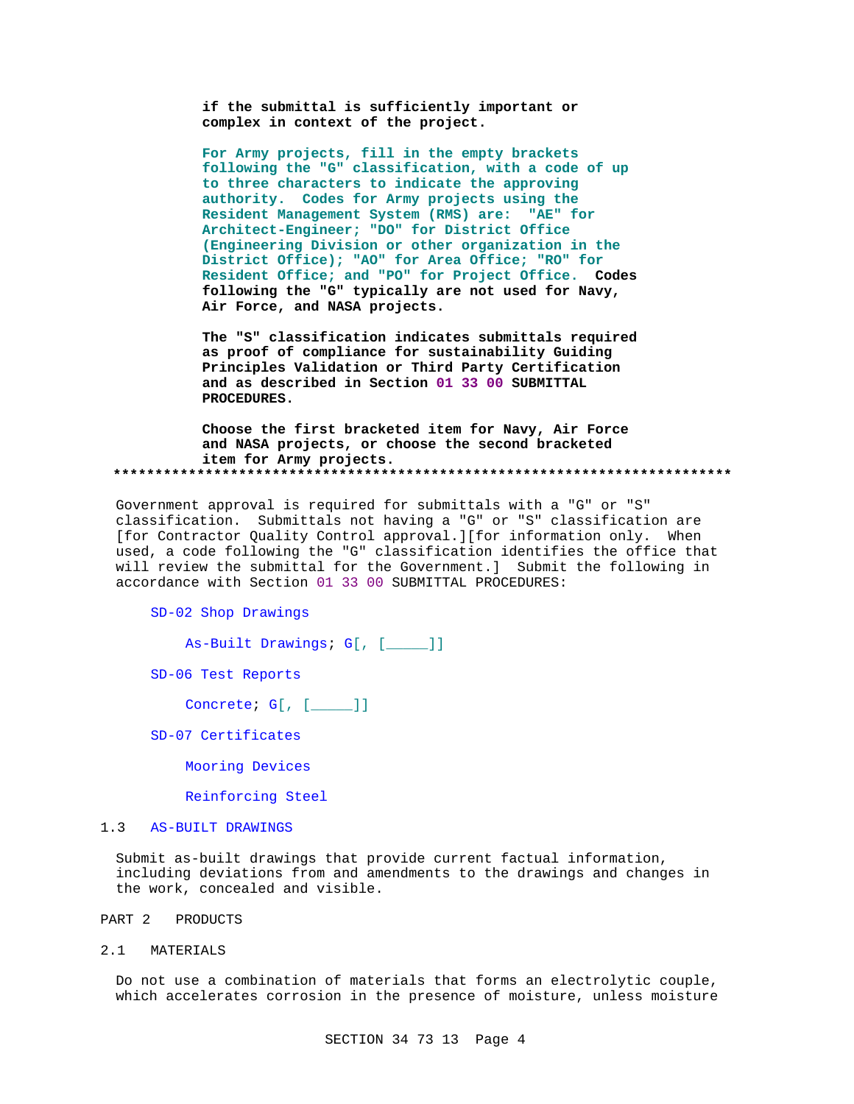if the submittal is sufficiently important or complex in context of the project.

For Army projects, fill in the empty brackets following the "G" classification, with a code of up to three characters to indicate the approving authority. Codes for Army projects using the Resident Management System (RMS) are: "AE" for Architect-Engineer; "DO" for District Office (Engineering Division or other organization in the District Office); "AO" for Area Office; "RO" for Resident Office; and "PO" for Project Office. Codes following the "G" typically are not used for Navy, Air Force, and NASA projects.

The "S" classification indicates submittals required as proof of compliance for sustainability Guiding Principles Validation or Third Party Certification and as described in Section 01 33 00 SUBMITTAL PROCEDURES.

Choose the first bracketed item for Navy, Air Force and NASA projects, or choose the second bracketed item for Army projects. 

Government approval is required for submittals with a "G" or "S" classification. Submittals not having a "G" or "S" classification are [for Contractor Quality Control approval.][for information only. When used, a code following the "G" classification identifies the office that will review the submittal for the Government.] Submit the following in accordance with Section 01 33 00 SUBMITTAL PROCEDURES:

SD-02 Shop Drawings

As-Built Drawings; G[, [\_\_\_\_]]

SD-06 Test Reports

Concrete;  $G[$ ,  $[\underline{\hspace{1cm}}]]$ 

SD-07 Certificates

Mooring Devices

Reinforcing Steel

### $1.3$ AS-BUILT DRAWINGS

Submit as-built drawings that provide current factual information, including deviations from and amendments to the drawings and changes in the work, concealed and visible.

### PART 2 PRODUCTS

 $2.1$ MATERIALS

> Do not use a combination of materials that forms an electrolytic couple, which accelerates corrosion in the presence of moisture, unless moisture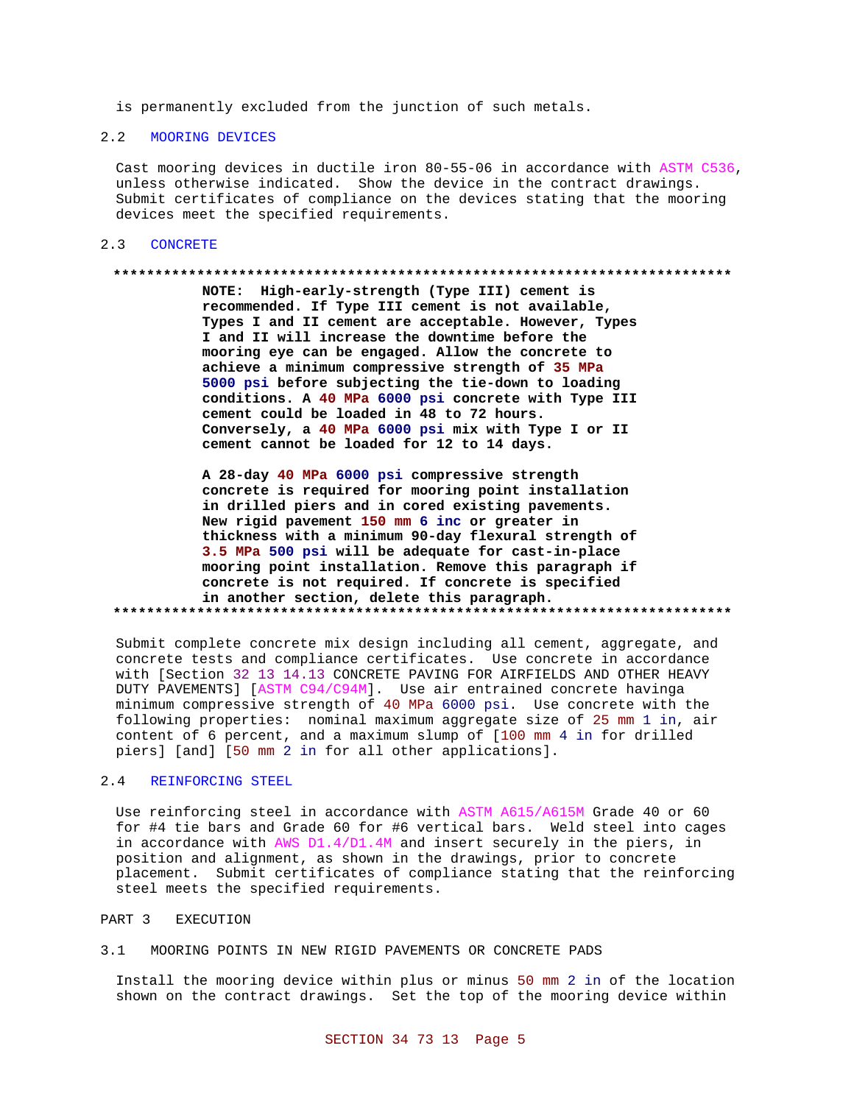is permanently excluded from the junction of such metals.

## 2.2 MOORING DEVICES

Cast mooring devices in ductile iron 80-55-06 in accordance with ASTM C536, unless otherwise indicated. Show the device in the contract drawings. Submit certificates of compliance on the devices stating that the mooring devices meet the specified requirements.

## 2.3 CONCRETE

### **\*\*\*\*\*\*\*\*\*\*\*\*\*\*\*\*\*\*\*\*\*\*\*\*\*\*\*\*\*\*\*\*\*\*\*\*\*\*\*\*\*\*\*\*\*\*\*\*\*\*\*\*\*\*\*\*\*\*\*\*\*\*\*\*\*\*\*\*\*\*\*\*\*\***

**NOTE: High-early-strength (Type III) cement is recommended. If Type III cement is not available, Types I and II cement are acceptable. However, Types I and II will increase the downtime before the mooring eye can be engaged. Allow the concrete to achieve a minimum compressive strength of 35 MPa 5000 psi before subjecting the tie-down to loading conditions. A 40 MPa 6000 psi concrete with Type III cement could be loaded in 48 to 72 hours. Conversely, a 40 MPa 6000 psi mix with Type I or II cement cannot be loaded for 12 to 14 days.**

**A 28-day 40 MPa 6000 psi compressive strength concrete is required for mooring point installation in drilled piers and in cored existing pavements. New rigid pavement 150 mm 6 inc or greater in thickness with a minimum 90-day flexural strength of 3.5 MPa 500 psi will be adequate for cast-in-place mooring point installation. Remove this paragraph if concrete is not required. If concrete is specified in another section, delete this paragraph. \*\*\*\*\*\*\*\*\*\*\*\*\*\*\*\*\*\*\*\*\*\*\*\*\*\*\*\*\*\*\*\*\*\*\*\*\*\*\*\*\*\*\*\*\*\*\*\*\*\*\*\*\*\*\*\*\*\*\*\*\*\*\*\*\*\*\*\*\*\*\*\*\*\***

Submit complete concrete mix design including all cement, aggregate, and concrete tests and compliance certificates. Use concrete in accordance with [Section 32 13 14.13 CONCRETE PAVING FOR AIRFIELDS AND OTHER HEAVY DUTY PAVEMENTS] [ASTM C94/C94M]. Use air entrained concrete havinga minimum compressive strength of 40 MPa 6000 psi. Use concrete with the following properties: nominal maximum aggregate size of 25 mm 1 in, air content of 6 percent, and a maximum slump of [100 mm 4 in for drilled piers] [and] [50 mm 2 in for all other applications].

## 2.4 REINFORCING STEEL

Use reinforcing steel in accordance with ASTM A615/A615M Grade 40 or 60 for #4 tie bars and Grade 60 for #6 vertical bars. Weld steel into cages in accordance with AWS D1.4/D1.4M and insert securely in the piers, in position and alignment, as shown in the drawings, prior to concrete placement. Submit certificates of compliance stating that the reinforcing steel meets the specified requirements.

## PART 3 EXECUTION

3.1 MOORING POINTS IN NEW RIGID PAVEMENTS OR CONCRETE PADS

Install the mooring device within plus or minus 50 mm 2 in of the location shown on the contract drawings. Set the top of the mooring device within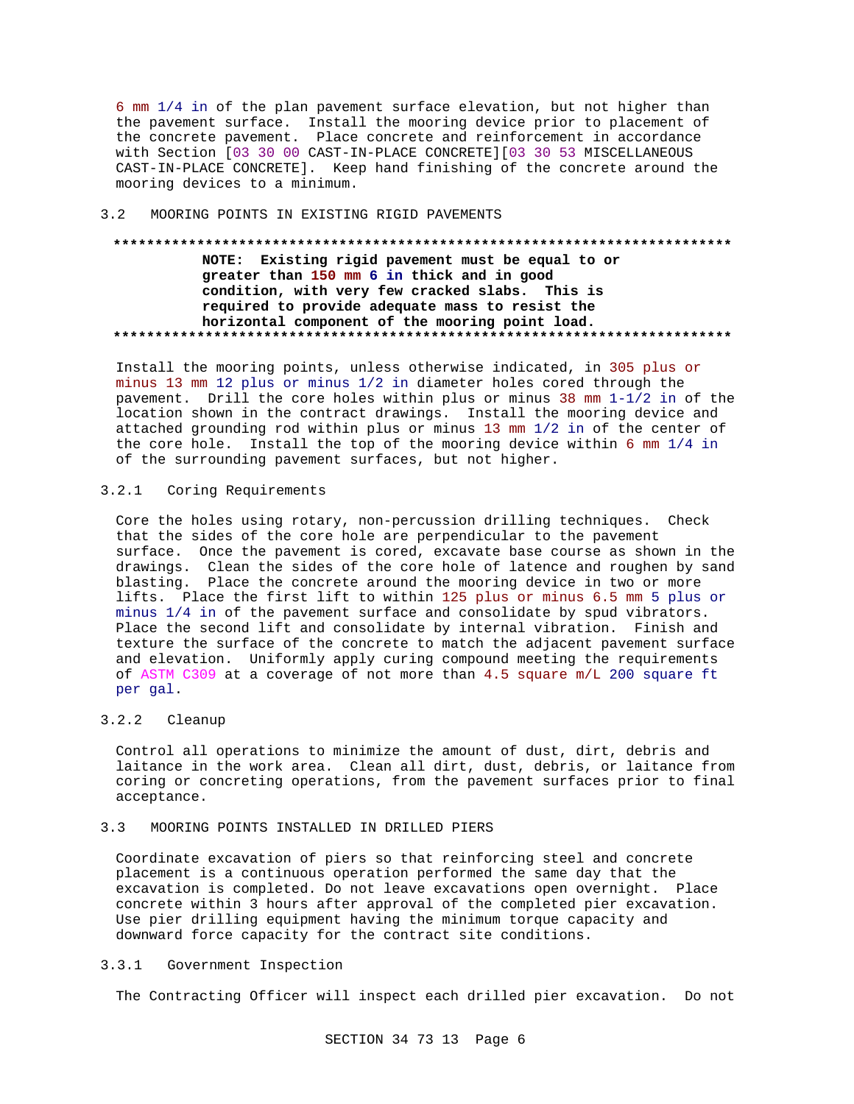6 mm 1/4 in of the plan pavement surface elevation, but not higher than the pavement surface. Install the mooring device prior to placement of the concrete pavement. Place concrete and reinforcement in accordance with Section [03 30 00 CAST-IN-PLACE CONCRETE] [03 30 53 MISCELLANEOUS CAST-IN-PLACE CONCRETE]. Keep hand finishing of the concrete around the mooring devices to a minimum.

### $3.2$ MOORING POINTS IN EXISTING RIGID PAVEMENTS

# NOTE: Existing rigid pavement must be equal to or greater than 150 mm 6 in thick and in good condition, with very few cracked slabs. This is required to provide adequate mass to resist the horizontal component of the mooring point load.

Install the mooring points, unless otherwise indicated, in 305 plus or minus 13 mm 12 plus or minus 1/2 in diameter holes cored through the pavement. Drill the core holes within plus or minus 38 mm  $1-1/2$  in of the location shown in the contract drawings. Install the mooring device and attached grounding rod within plus or minus 13 mm 1/2 in of the center of the core hole. Install the top of the mooring device within 6 mm 1/4 in of the surrounding pavement surfaces, but not higher.

### $3.2.1$ Coring Requirements

Core the holes using rotary, non-percussion drilling techniques. Check that the sides of the core hole are perpendicular to the pavement surface. Once the pavement is cored, excavate base course as shown in the drawings. Clean the sides of the core hole of latence and roughen by sand blasting. Place the concrete around the mooring device in two or more lifts. Place the first lift to within 125 plus or minus 6.5 mm 5 plus or minus 1/4 in of the pavement surface and consolidate by spud vibrators. Place the second lift and consolidate by internal vibration. Finish and texture the surface of the concrete to match the adjacent pavement surface and elevation. Uniformly apply curing compound meeting the requirements of ASTM C309 at a coverage of not more than 4.5 square m/L 200 square ft per gal.

### $3.2.2$ Cleanup

Control all operations to minimize the amount of dust, dirt, debris and laitance in the work area. Clean all dirt, dust, debris, or laitance from coring or concreting operations, from the pavement surfaces prior to final acceptance.

### $3.3$ MOORING POINTS INSTALLED IN DRILLED PIERS

Coordinate excavation of piers so that reinforcing steel and concrete placement is a continuous operation performed the same day that the excavation is completed. Do not leave excavations open overnight. Place concrete within 3 hours after approval of the completed pier excavation. Use pier drilling equipment having the minimum torque capacity and downward force capacity for the contract site conditions.

### $3.3.1$ Government Inspection

The Contracting Officer will inspect each drilled pier excavation. Do not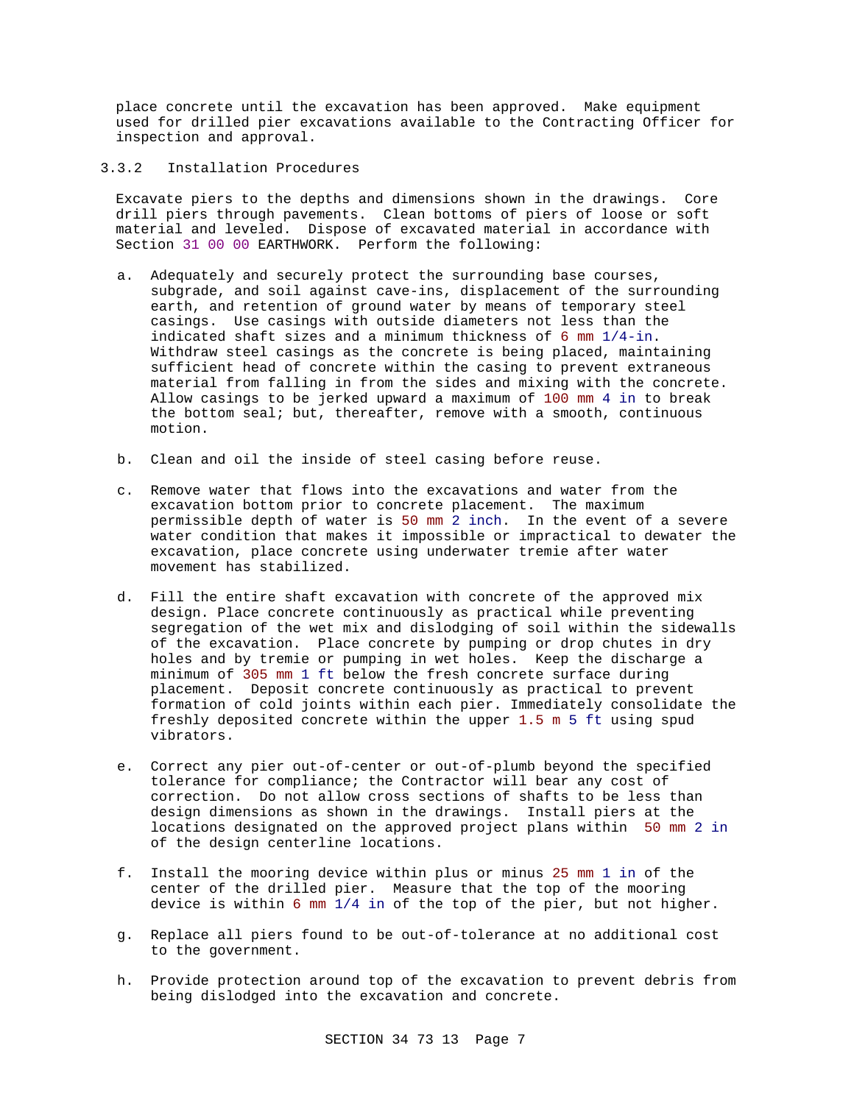place concrete until the excavation has been approved. Make equipment used for drilled pier excavations available to the Contracting Officer for inspection and approval.

3.3.2 Installation Procedures

Excavate piers to the depths and dimensions shown in the drawings. Core drill piers through pavements. Clean bottoms of piers of loose or soft material and leveled. Dispose of excavated material in accordance with Section 31 00 00 EARTHWORK. Perform the following:

- a. Adequately and securely protect the surrounding base courses, subgrade, and soil against cave-ins, displacement of the surrounding earth, and retention of ground water by means of temporary steel casings. Use casings with outside diameters not less than the indicated shaft sizes and a minimum thickness of 6 mm 1/4-in. Withdraw steel casings as the concrete is being placed, maintaining sufficient head of concrete within the casing to prevent extraneous material from falling in from the sides and mixing with the concrete. Allow casings to be jerked upward a maximum of 100 mm 4 in to break the bottom seal; but, thereafter, remove with a smooth, continuous motion.
- b. Clean and oil the inside of steel casing before reuse.
- c. Remove water that flows into the excavations and water from the excavation bottom prior to concrete placement. The maximum permissible depth of water is 50 mm 2 inch. In the event of a severe water condition that makes it impossible or impractical to dewater the excavation, place concrete using underwater tremie after water movement has stabilized.
- d. Fill the entire shaft excavation with concrete of the approved mix design. Place concrete continuously as practical while preventing segregation of the wet mix and dislodging of soil within the sidewalls of the excavation. Place concrete by pumping or drop chutes in dry holes and by tremie or pumping in wet holes. Keep the discharge a minimum of 305 mm 1 ft below the fresh concrete surface during placement. Deposit concrete continuously as practical to prevent formation of cold joints within each pier. Immediately consolidate the freshly deposited concrete within the upper 1.5 m 5 ft using spud vibrators.
- e. Correct any pier out-of-center or out-of-plumb beyond the specified tolerance for compliance; the Contractor will bear any cost of correction. Do not allow cross sections of shafts to be less than design dimensions as shown in the drawings. Install piers at the locations designated on the approved project plans within 50 mm 2 in of the design centerline locations.
- f. Install the mooring device within plus or minus 25 mm 1 in of the center of the drilled pier. Measure that the top of the mooring device is within 6 mm 1/4 in of the top of the pier, but not higher.
- g. Replace all piers found to be out-of-tolerance at no additional cost to the government.
- h. Provide protection around top of the excavation to prevent debris from being dislodged into the excavation and concrete.